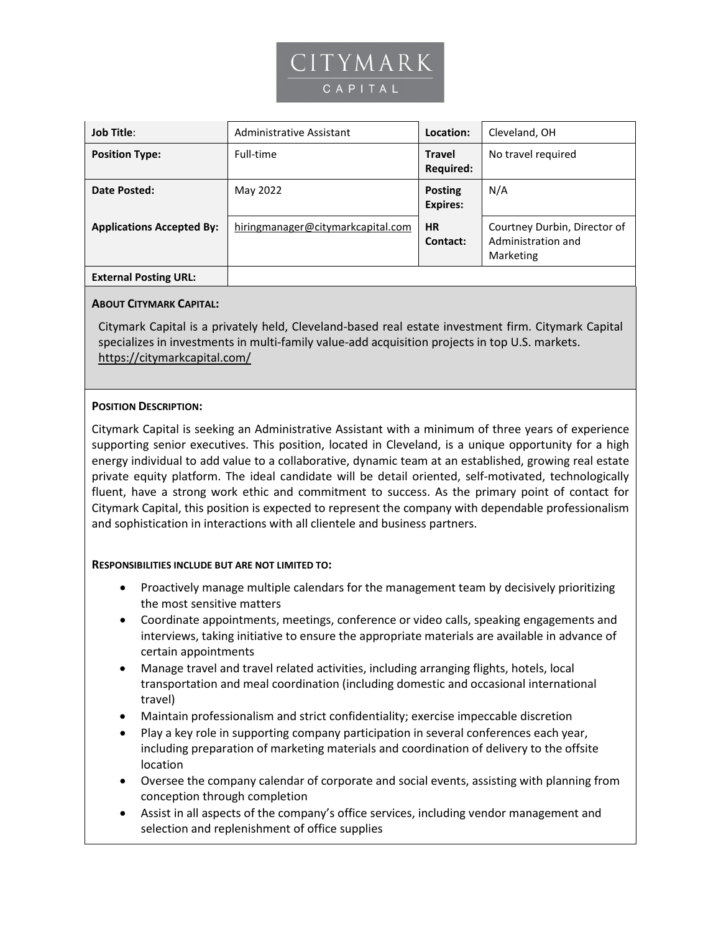

| <b>Job Title:</b>                | Administrative Assistant          | Location:                         | Cleveland, OH                                                   |
|----------------------------------|-----------------------------------|-----------------------------------|-----------------------------------------------------------------|
| <b>Position Type:</b>            | Full-time                         | <b>Travel</b><br><b>Required:</b> | No travel required                                              |
| Date Posted:                     | May 2022                          | <b>Posting</b><br><b>Expires:</b> | N/A                                                             |
| <b>Applications Accepted By:</b> | hiringmanager@citymarkcapital.com | <b>HR</b><br>Contact:             | Courtney Durbin, Director of<br>Administration and<br>Marketing |
| <b>External Posting URL:</b>     |                                   |                                   |                                                                 |

# **ABOUT CITYMARK CAPITAL:**

Citymark Capital is a privately held, Cleveland-based real estate investment firm. Citymark Capital specializes in investments in multi-family value-add acquisition projects in top U.S. markets. <https://citymarkcapital.com/>

## **POSITION DESCRIPTION:**

Citymark Capital is seeking an Administrative Assistant with a minimum of three years of experience supporting senior executives. This position, located in Cleveland, is a unique opportunity for a high energy individual to add value to a collaborative, dynamic team at an established, growing real estate private equity platform. The ideal candidate will be detail oriented, self-motivated, technologically fluent, have a strong work ethic and commitment to success. As the primary point of contact for Citymark Capital, this position is expected to represent the company with dependable professionalism and sophistication in interactions with all clientele and business partners.

## **RESPONSIBILITIES INCLUDE BUT ARE NOT LIMITED TO:**

- Proactively manage multiple calendars for the management team by decisively prioritizing the most sensitive matters
- Coordinate appointments, meetings, conference or video calls, speaking engagements and interviews, taking initiative to ensure the appropriate materials are available in advance of certain appointments
- Manage travel and travel related activities, including arranging flights, hotels, local transportation and meal coordination (including domestic and occasional international travel)
- Maintain professionalism and strict confidentiality; exercise impeccable discretion
- Play a key role in supporting company participation in several conferences each year, including preparation of marketing materials and coordination of delivery to the offsite location
- Oversee the company calendar of corporate and social events, assisting with planning from conception through completion
- Assist in all aspects of the company's office services, including vendor management and selection and replenishment of office supplies